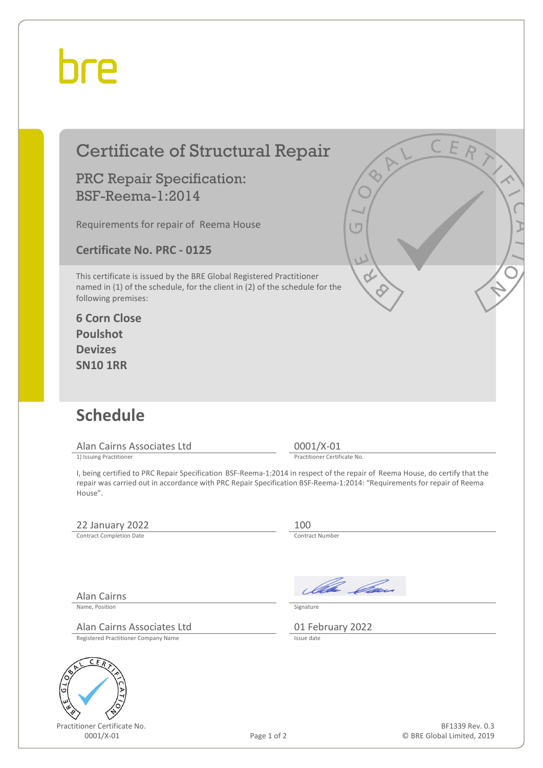## bre

| <b>Certificate of Structural Repair</b><br><b>PRC Repair Specification:</b><br><b>BSF-Reema-1:2014</b><br>Requirements for repair of Reema House<br><b>Certificate No. PRC - 0125</b><br>This certificate is issued by the BRE Global Registered Practitioner<br>named in (1) of the schedule, for the client in (2) of the schedule for the<br>following premises:<br><b>6 Corn Close</b><br><b>Poulshot</b><br><b>Devizes</b><br><b>SN10 1RR</b> | lΓ<br>$\overline{L}$                                                                                                                                                                                                                                   |
|----------------------------------------------------------------------------------------------------------------------------------------------------------------------------------------------------------------------------------------------------------------------------------------------------------------------------------------------------------------------------------------------------------------------------------------------------|--------------------------------------------------------------------------------------------------------------------------------------------------------------------------------------------------------------------------------------------------------|
| <b>Schedule</b>                                                                                                                                                                                                                                                                                                                                                                                                                                    |                                                                                                                                                                                                                                                        |
|                                                                                                                                                                                                                                                                                                                                                                                                                                                    |                                                                                                                                                                                                                                                        |
| Alan Cairns Associates Ltd                                                                                                                                                                                                                                                                                                                                                                                                                         | $0001/X-01$                                                                                                                                                                                                                                            |
| 1) Issuing Practitioner                                                                                                                                                                                                                                                                                                                                                                                                                            | Practitioner Certificate No.                                                                                                                                                                                                                           |
| House".                                                                                                                                                                                                                                                                                                                                                                                                                                            | I, being certified to PRC Repair Specification BSF-Reema-1:2014 in respect of the repair of Reema House, do certify that the<br>repair was carried out in accordance with PRC Repair Specification BSF-Reema-1:2014: "Requirements for repair of Reema |
| 22 January 2022                                                                                                                                                                                                                                                                                                                                                                                                                                    | 100                                                                                                                                                                                                                                                    |
| <b>Contract Completion Date</b>                                                                                                                                                                                                                                                                                                                                                                                                                    | <b>Contract Number</b>                                                                                                                                                                                                                                 |
| <b>Alan Cairns</b><br>Name, Position<br>Alan Cairns Associates Ltd<br>Registered Practitioner Company Name                                                                                                                                                                                                                                                                                                                                         | Illa Can<br>Signature<br>01 February 2022<br>Issue date                                                                                                                                                                                                |
| C<br>E<br>Practitioner Certificate No.<br>0001/X-01                                                                                                                                                                                                                                                                                                                                                                                                | BF1339 Rev. 0.3<br>Page 1 of 2<br>© BRE Global Limited, 2019                                                                                                                                                                                           |